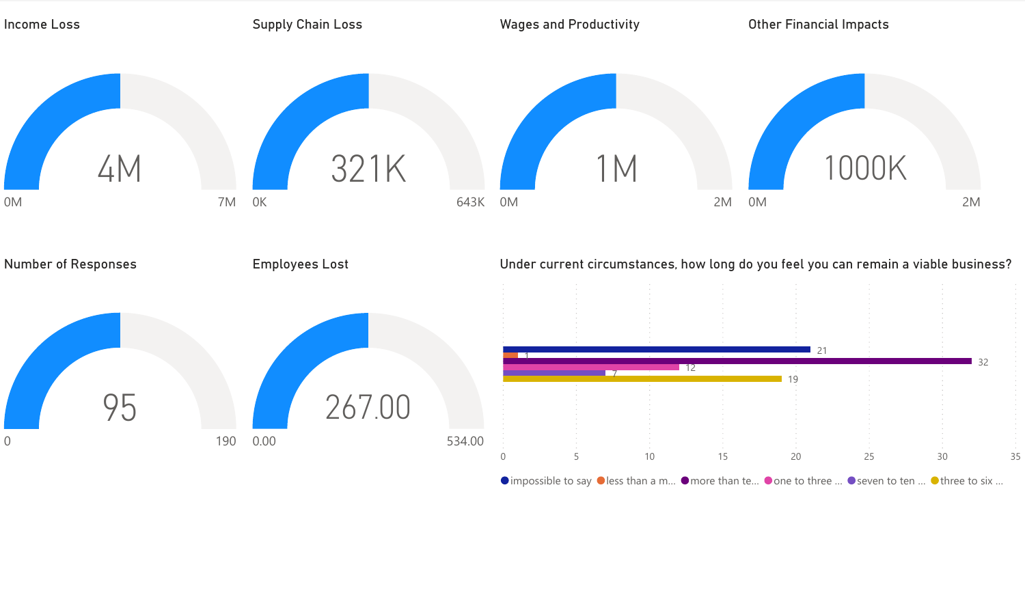

 $\bullet$  impossible to say  $\bullet$  less than a m...  $\bullet$  more than te...  $\bullet$  one to three ...  $\bullet$  seven to ten ...  $\bullet$  three to six ...